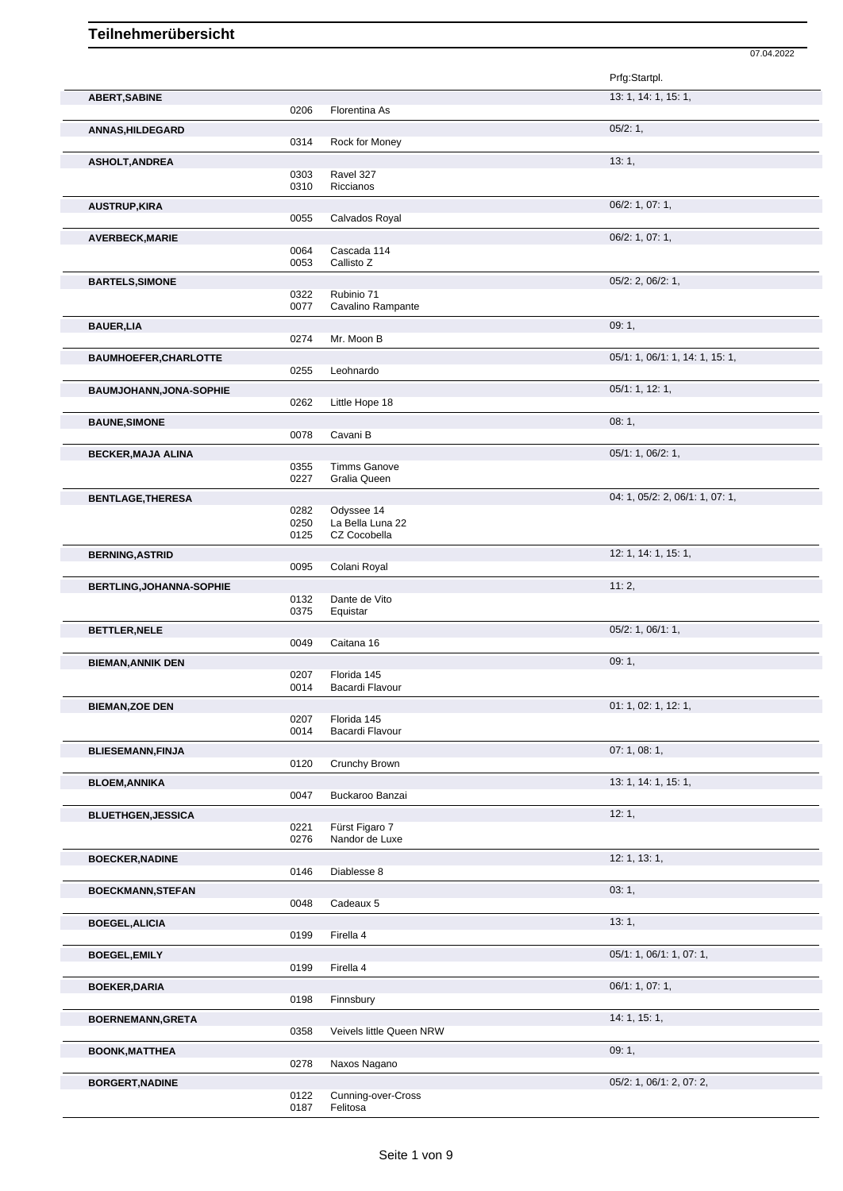|                                 |                      |                                                | Prfg:Startpl.                   |
|---------------------------------|----------------------|------------------------------------------------|---------------------------------|
| <b>ABERT, SABINE</b>            | 0206                 | Florentina As                                  | 13: 1, 14: 1, 15: 1,            |
| <b>ANNAS, HILDEGARD</b>         | 0314                 | Rock for Money                                 | 05/2:1,                         |
| <b>ASHOLT, ANDREA</b>           | 0303                 | Ravel 327                                      | 13:1,                           |
| <b>AUSTRUP, KIRA</b>            | 0310                 | Riccianos                                      | 06/2: 1, 07: 1,                 |
| <b>AVERBECK, MARIE</b>          | 0055                 | Calvados Royal                                 | 06/2: 1, 07: 1,                 |
|                                 | 0064<br>0053         | Cascada 114<br>Callisto Z                      |                                 |
| <b>BARTELS, SIMONE</b>          | 0322<br>0077         | Rubinio 71<br>Cavalino Rampante                | 05/2: 2, 06/2: 1,               |
| <b>BAUER, LIA</b>               | 0274                 | Mr. Moon B                                     | 09:1,                           |
| <b>BAUMHOEFER, CHARLOTTE</b>    | 0255                 | Leohnardo                                      | 05/1: 1, 06/1: 1, 14: 1, 15: 1, |
| <b>BAUMJOHANN, JONA-SOPHIE</b>  | 0262                 | Little Hope 18                                 | 05/1: 1, 12: 1,                 |
| <b>BAUNE, SIMONE</b>            | 0078                 | Cavani B                                       | 08:1,                           |
| <b>BECKER, MAJA ALINA</b>       | 0355                 | <b>Timms Ganove</b>                            | 05/1: 1, 06/2: 1,               |
| <b>BENTLAGE, THERESA</b>        | 0227                 | Gralia Queen                                   | 04: 1, 05/2: 2, 06/1: 1, 07: 1, |
|                                 | 0282<br>0250<br>0125 | Odyssee 14<br>La Bella Luna 22<br>CZ Cocobella |                                 |
| <b>BERNING, ASTRID</b>          | 0095                 | Colani Royal                                   | 12: 1, 14: 1, 15: 1,            |
| <b>BERTLING, JOHANNA-SOPHIE</b> | 0132<br>0375         | Dante de Vito<br>Equistar                      | 11:2,                           |
| <b>BETTLER, NELE</b>            | 0049                 | Caitana 16                                     | $05/2$ : 1, $06/1$ : 1,         |
| <b>BIEMAN, ANNIK DEN</b>        | 0207<br>0014         | Florida 145<br>Bacardi Flavour                 | 09:1,                           |
| <b>BIEMAN,ZOE DEN</b>           | 0207                 | Florida 145                                    | 01: 1, 02: 1, 12: 1,            |
| <b>BLIESEMANN, FINJA</b>        | 0014                 | Bacardi Flavour<br>Crunchy Brown               | 07:1,08:1,                      |
| <b>BLOEM, ANNIKA</b>            | 0120<br>0047         | Buckaroo Banzai                                | 13: 1, 14: 1, 15: 1,            |
| <b>BLUETHGEN, JESSICA</b>       | 0221<br>0276         | Fürst Figaro 7<br>Nandor de Luxe               | 12:1,                           |
| <b>BOECKER, NADINE</b>          | 0146                 | Diablesse 8                                    | 12: 1, 13: 1,                   |
| <b>BOECKMANN, STEFAN</b>        | 0048                 | Cadeaux 5                                      | 03:1,                           |
| <b>BOEGEL, ALICIA</b>           | 0199                 | Firella 4                                      | 13:1,                           |
| <b>BOEGEL, EMILY</b>            | 0199                 | Firella 4                                      | 05/1: 1, 06/1: 1, 07: 1,        |
| <b>BOEKER, DARIA</b>            | 0198                 | Finnsbury                                      | 06/1: 1, 07: 1,                 |
| <b>BOERNEMANN, GRETA</b>        | 0358                 | Veivels little Queen NRW                       | 14: 1, 15: 1,                   |
| <b>BOONK, MATTHEA</b>           | 0278                 | Naxos Nagano                                   | 09:1,                           |
| <b>BORGERT, NADINE</b>          |                      |                                                | 05/2: 1, 06/1: 2, 07: 2,        |

07.04.2022

```
0122 Cunning-over-Cross
0187 Felitosa
```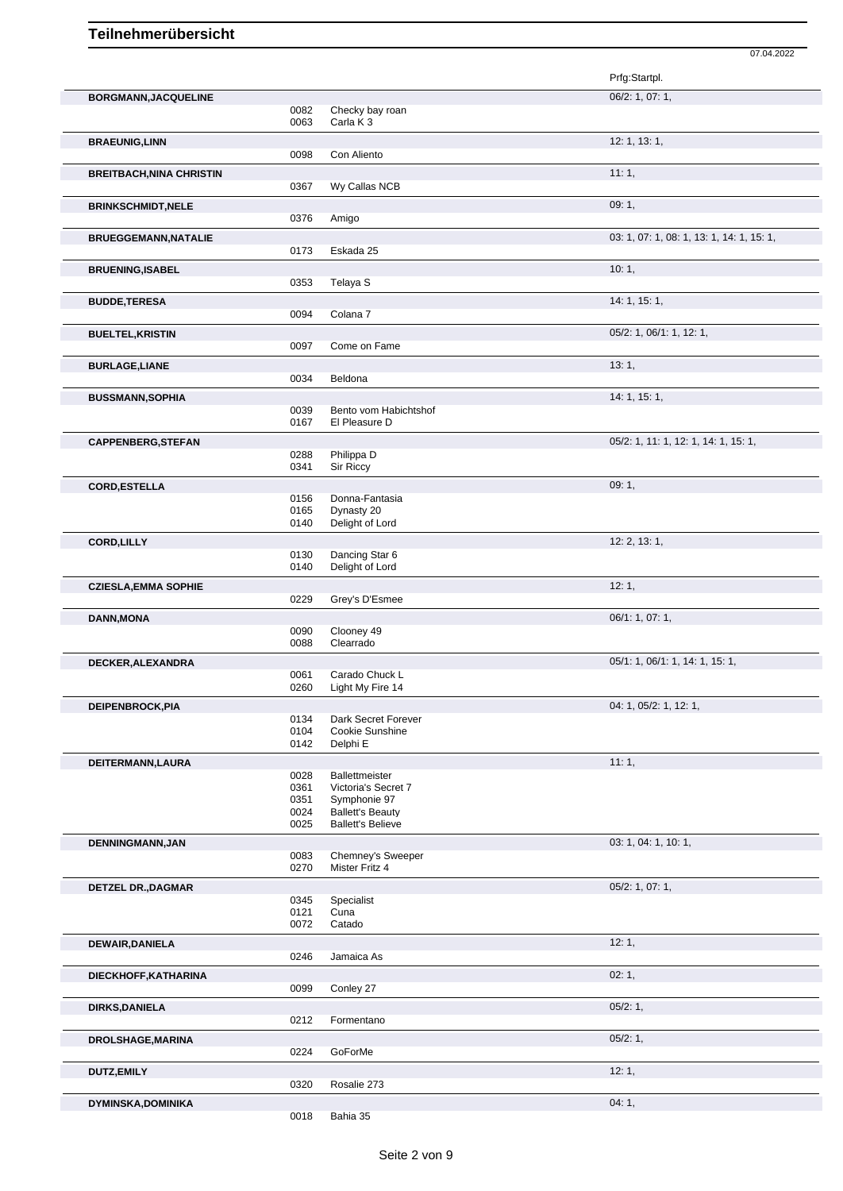|                                 |              |                          | 07.04.2022                                |
|---------------------------------|--------------|--------------------------|-------------------------------------------|
|                                 |              |                          | Prfg:Startpl.                             |
|                                 |              |                          | 06/2: 1, 07: 1,                           |
| <b>BORGMANN, JACQUELINE</b>     | 0082         | Checky bay roan          |                                           |
|                                 | 0063         | Carla K <sub>3</sub>     |                                           |
| <b>BRAEUNIG, LINN</b>           |              |                          | 12: 1, 13: 1,                             |
|                                 | 0098         | Con Aliento              |                                           |
|                                 |              |                          |                                           |
| <b>BREITBACH, NINA CHRISTIN</b> |              |                          | 11:1,                                     |
|                                 | 0367         | Wy Callas NCB            |                                           |
| <b>BRINKSCHMIDT, NELE</b>       |              |                          | 09:1,                                     |
|                                 | 0376         | Amigo                    |                                           |
| <b>BRUEGGEMANN, NATALIE</b>     |              |                          | 03: 1, 07: 1, 08: 1, 13: 1, 14: 1, 15: 1, |
|                                 | 0173         | Eskada 25                |                                           |
|                                 |              |                          | 10:1,                                     |
| <b>BRUENING, ISABEL</b>         | 0353         | Telaya S                 |                                           |
|                                 |              |                          |                                           |
| <b>BUDDE,TERESA</b>             |              |                          | 14:1, 15:1,                               |
|                                 | 0094         | Colana 7                 |                                           |
| <b>BUELTEL, KRISTIN</b>         |              |                          | 05/2: 1, 06/1: 1, 12: 1,                  |
|                                 | 0097         | Come on Fame             |                                           |
| <b>BURLAGE,LIANE</b>            |              |                          | 13:1,                                     |
|                                 | 0034         | Beldona                  |                                           |
|                                 |              |                          |                                           |
| <b>BUSSMANN, SOPHIA</b>         |              |                          | 14: 1, 15: 1,                             |
|                                 | 0039         | Bento vom Habichtshof    |                                           |
|                                 | 0167         | El Pleasure D            |                                           |
| <b>CAPPENBERG, STEFAN</b>       |              |                          | 05/2: 1, 11: 1, 12: 1, 14: 1, 15: 1,      |
|                                 | 0288         | Philippa D               |                                           |
|                                 | 0341         | Sir Riccy                |                                           |
| <b>CORD, ESTELLA</b>            |              |                          | 09:1,                                     |
|                                 | 0156         | Donna-Fantasia           |                                           |
|                                 | 0165         | Dynasty 20               |                                           |
|                                 | 0140         | Delight of Lord          |                                           |
| <b>CORD,LILLY</b>               |              |                          | 12: 2, 13: 1,                             |
|                                 | 0130         | Dancing Star 6           |                                           |
|                                 | 0140         | Delight of Lord          |                                           |
|                                 |              |                          | 12:1,                                     |
| <b>CZIESLA, EMMA SOPHIE</b>     |              |                          |                                           |
|                                 | 0229         | Grey's D'Esmee           |                                           |
| <b>DANN, MONA</b>               |              |                          | 06/1: 1, 07: 1,                           |
|                                 | 0090         | Clooney 49               |                                           |
|                                 | 0088         | Clearrado                |                                           |
| DECKER, ALEXANDRA               |              |                          | 05/1: 1, 06/1: 1, 14: 1, 15: 1,           |
|                                 | 0061         | Carado Chuck L           |                                           |
|                                 | 0260         | Light My Fire 14         |                                           |
| DEIPENBROCK, PIA                |              |                          | 04: 1, 05/2: 1, 12: 1,                    |
|                                 | 0134         | Dark Secret Forever      |                                           |
|                                 | 0104         | Cookie Sunshine          |                                           |
|                                 | 0142         | Delphi E                 |                                           |
|                                 |              |                          | 11:1,                                     |
| DEITERMANN, LAURA               | 0028         | Ballettmeister           |                                           |
|                                 | 0361         | Victoria's Secret 7      |                                           |
|                                 | 0351         | Symphonie 97             |                                           |
|                                 | 0024         | <b>Ballett's Beauty</b>  |                                           |
|                                 | 0025         | <b>Ballett's Believe</b> |                                           |
| DENNINGMANN, JAN                |              |                          | 03: 1, 04: 1, 10: 1,                      |
|                                 | 0083         | Chemney's Sweeper        |                                           |
|                                 | 0270         | Mister Fritz 4           |                                           |
|                                 |              |                          |                                           |
| <b>DETZEL DR., DAGMAR</b>       |              |                          | 05/2: 1, 07: 1,                           |
|                                 | 0345<br>0121 | Specialist<br>Cuna       |                                           |
|                                 | 0072         | Catado                   |                                           |
|                                 |              |                          |                                           |
| DEWAIR, DANIELA                 |              |                          | 12:1,                                     |
|                                 | 0246         | Jamaica As               |                                           |
| DIECKHOFF, KATHARINA            |              |                          | 02:1,                                     |
|                                 | 0099         | Conley 27                |                                           |
| <b>DIRKS, DANIELA</b>           |              |                          | 05/2:1,                                   |
|                                 | 0212         | Formentano               |                                           |
|                                 |              |                          |                                           |
| DROLSHAGE, MARINA               |              |                          | 05/2:1,                                   |
|                                 | 0224         | GoForMe                  |                                           |
| DUTZ, EMILY                     |              |                          | 12:1,                                     |
|                                 | 0320         | Rosalie 273              |                                           |
|                                 |              |                          |                                           |
| <b>DYMINSKA, DOMINIKA</b>       |              |                          | 04:1,                                     |

0018 Bahia 35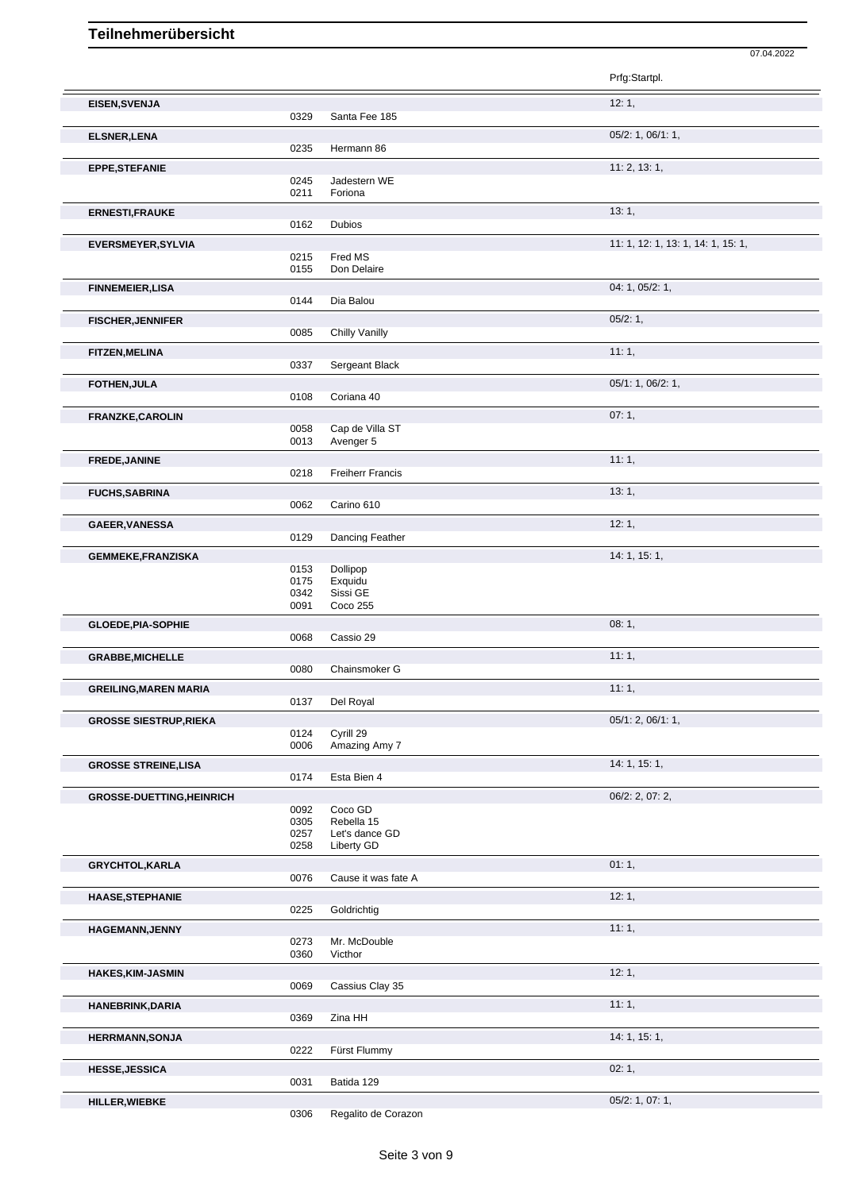|                                  |              |                              | 07.04.2022                         |
|----------------------------------|--------------|------------------------------|------------------------------------|
|                                  |              |                              | Prfg:Startpl.                      |
| EISEN, SVENJA                    |              |                              | 12:1,                              |
|                                  | 0329         | Santa Fee 185                |                                    |
| <b>ELSNER, LENA</b>              | 0235         | Hermann 86                   | 05/2: 1, 06/1: 1,                  |
| <b>EPPE,STEFANIE</b>             |              |                              | 11: 2, 13: 1,                      |
|                                  | 0245         | Jadestern WE                 |                                    |
|                                  | 0211         | Foriona                      |                                    |
| <b>ERNESTI, FRAUKE</b>           | 0162         | <b>Dubios</b>                | 13:1,                              |
|                                  |              |                              | 11: 1, 12: 1, 13: 1, 14: 1, 15: 1, |
| <b>EVERSMEYER, SYLVIA</b>        | 0215         | Fred MS                      |                                    |
|                                  | 0155         | Don Delaire                  |                                    |
| <b>FINNEMEIER, LISA</b>          |              |                              | 04: 1, 05/2: 1,                    |
|                                  | 0144         | Dia Balou                    |                                    |
| <b>FISCHER, JENNIFER</b>         | 0085         | Chilly Vanilly               | 05/2:1,                            |
| <b>FITZEN, MELINA</b>            |              |                              | 11:1,                              |
|                                  | 0337         | Sergeant Black               |                                    |
| FOTHEN, JULA                     |              |                              | 05/1: 1, 06/2: 1,                  |
|                                  | 0108         | Coriana 40                   |                                    |
| FRANZKE, CAROLIN                 |              |                              | 07:1,                              |
|                                  | 0058<br>0013 | Cap de Villa ST<br>Avenger 5 |                                    |
| FREDE, JANINE                    |              |                              | 11:1,                              |
|                                  | 0218         | <b>Freiherr Francis</b>      |                                    |
| <b>FUCHS, SABRINA</b>            |              |                              | 13:1,                              |
|                                  | 0062         | Carino 610                   |                                    |
| GAEER, VANESSA                   |              |                              | 12:1,                              |
|                                  | 0129         | Dancing Feather              |                                    |
| <b>GEMMEKE,FRANZISKA</b>         | 0153         | Dollipop                     | 14: 1, 15: 1,                      |
|                                  | 0175         | Exquidu                      |                                    |
|                                  | 0342<br>0091 | Sissi GE<br>Coco 255         |                                    |
| <b>GLOEDE, PIA-SOPHIE</b>        |              |                              | 08:1,                              |
|                                  | 0068         | Cassio 29                    |                                    |
| <b>GRABBE, MICHELLE</b>          |              | Chainsmoker G                | 11:1,                              |
|                                  | 0080         |                              | 11:1,                              |
| <b>GREILING, MAREN MARIA</b>     | 0137         | Del Royal                    |                                    |
| <b>GROSSE SIESTRUP, RIEKA</b>    |              |                              | 05/1: 2, 06/1: 1,                  |
|                                  | 0124         | Cyrill 29                    |                                    |
|                                  | 0006         | Amazing Amy 7                |                                    |
| <b>GROSSE STREINE,LISA</b>       | 0174         | Esta Bien 4                  | 14: 1, 15: 1,                      |
| <b>GROSSE-DUETTING, HEINRICH</b> |              |                              | 06/2: 2, 07: 2,                    |
|                                  | 0092         | Coco GD                      |                                    |
|                                  | 0305<br>0257 | Rebella 15<br>Let's dance GD |                                    |
|                                  | 0258         | Liberty GD                   |                                    |
| <b>GRYCHTOL, KARLA</b>           |              |                              | 01:1,                              |
|                                  | 0076         | Cause it was fate A          |                                    |
| <b>HAASE, STEPHANIE</b>          |              |                              | 12:1,                              |
|                                  | 0225         | Goldrichtig                  |                                    |
| <b>HAGEMANN, JENNY</b>           | 0273         | Mr. McDouble                 | 11:1,                              |
|                                  | 0360         | Victhor                      |                                    |
| <b>HAKES,KIM-JASMIN</b>          |              |                              | 12:1,                              |
|                                  | 0069         | Cassius Clay 35              |                                    |
| HANEBRINK, DARIA                 | 0369         | Zina HH                      | 11:1,                              |
|                                  |              |                              | 14:1, 15:1,                        |
| <b>HERRMANN, SONJA</b>           | 0222         | Fürst Flummy                 |                                    |
| <b>HESSE, JESSICA</b>            |              |                              | 02:1,                              |
|                                  | 0031         | Batida 129                   |                                    |
| HILLER, WIEBKE                   |              |                              | 05/2: 1, 07: 1,                    |

0306 Regalito de Corazon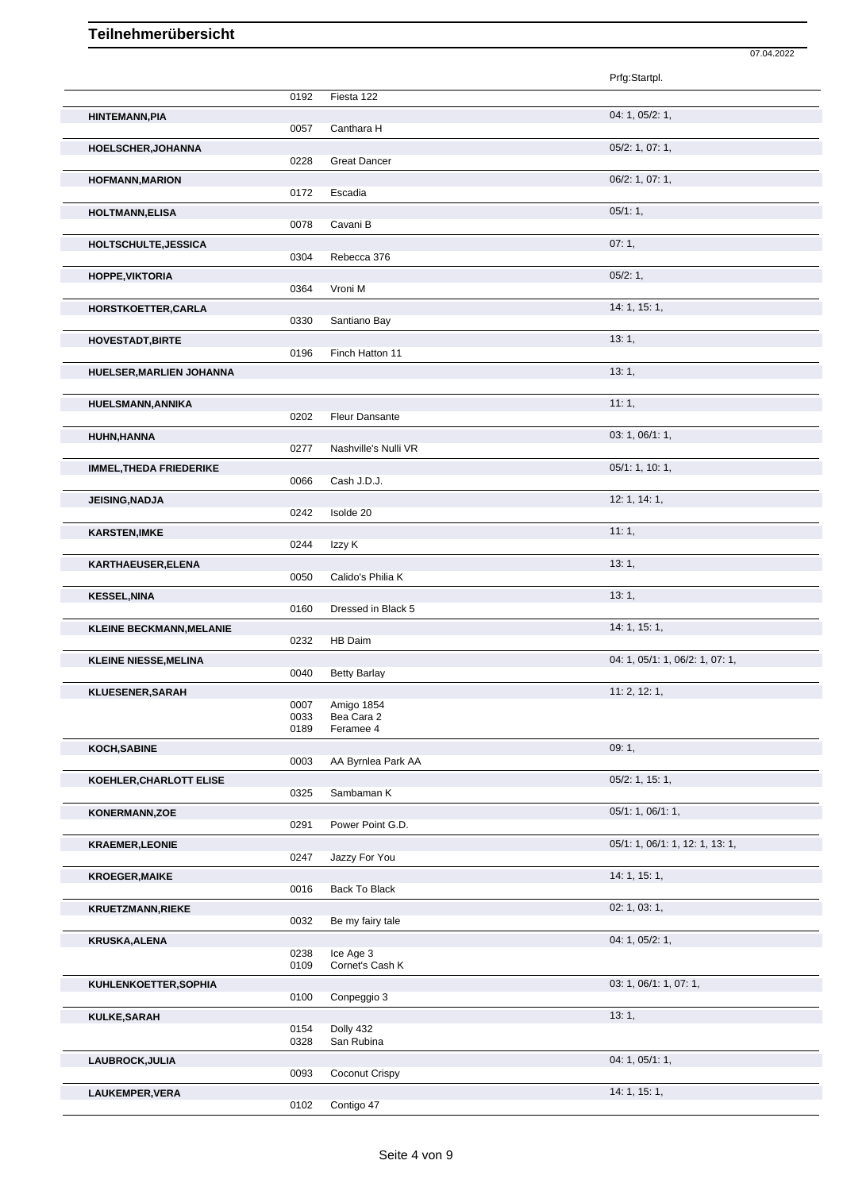|                                 |              |                              | 07.04.2022                      |
|---------------------------------|--------------|------------------------------|---------------------------------|
|                                 |              |                              | Prfg:Startpl.                   |
|                                 | 0192         | Fiesta 122                   |                                 |
| <b>HINTEMANN, PIA</b>           | 0057         | Canthara H                   | 04: 1, 05/2: 1,                 |
| HOELSCHER, JOHANNA              | 0228         | <b>Great Dancer</b>          | 05/2: 1, 07: 1,                 |
| <b>HOFMANN, MARION</b>          |              |                              | 06/2: 1, 07: 1,                 |
|                                 | 0172         | Escadia                      | 05/1:1,                         |
| <b>HOLTMANN, ELISA</b>          | 0078         | Cavani B                     |                                 |
| HOLTSCHULTE, JESSICA            | 0304         | Rebecca 376                  | 07:1,                           |
| HOPPE, VIKTORIA                 | 0364         | Vroni M                      | 05/2:1,                         |
| HORSTKOETTER, CARLA             | 0330         | Santiano Bay                 | 14:1, 15:1,                     |
| <b>HOVESTADT, BIRTE</b>         |              |                              | 13:1,                           |
| HUELSER, MARLIEN JOHANNA        | 0196         | Finch Hatton 11              | 13:1,                           |
|                                 |              |                              |                                 |
| HUELSMANN, ANNIKA               | 0202         | Fleur Dansante               | 11:1,                           |
| HUHN, HANNA                     |              |                              | 03: 1, 06/1: 1,                 |
|                                 | 0277         | Nashville's Nulli VR         | 05/1: 1, 10: 1,                 |
| <b>IMMEL, THEDA FRIEDERIKE</b>  | 0066         | Cash J.D.J.                  |                                 |
| JEISING, NADJA                  | 0242         | Isolde 20                    | 12: 1, 14: 1,                   |
| <b>KARSTEN, IMKE</b>            |              |                              | 11:1,                           |
| KARTHAEUSER, ELENA              | 0244         | Izzy K                       | 13:1,                           |
|                                 | 0050         | Calido's Philia K            |                                 |
| <b>KESSEL, NINA</b>             | 0160         | Dressed in Black 5           | 13:1,                           |
| <b>KLEINE BECKMANN, MELANIE</b> | 0232         | HB Daim                      | 14: 1, 15: 1,                   |
| <b>KLEINE NIESSE, MELINA</b>    |              |                              | 04: 1, 05/1: 1, 06/2: 1, 07: 1, |
|                                 | 0040         | <b>Betty Barlay</b>          |                                 |
| <b>KLUESENER, SARAH</b>         | 0007         | Amigo 1854                   | 11: 2, 12: 1,                   |
|                                 | 0033         | Bea Cara 2                   |                                 |
| KOCH, SABINE                    | 0189         | Feramee 4                    | 09:1,                           |
|                                 | 0003         | AA Byrnlea Park AA           |                                 |
| KOEHLER, CHARLOTT ELISE         | 0325         | Sambaman K                   | 05/2: 1, 15: 1,                 |
| KONERMANN, ZOE                  | 0291         | Power Point G.D.             | 05/1: 1, 06/1: 1,               |
| <b>KRAEMER,LEONIE</b>           |              |                              | 05/1: 1, 06/1: 1, 12: 1, 13: 1, |
|                                 | 0247         | Jazzy For You                |                                 |
| <b>KROEGER, MAIKE</b>           | 0016         | Back To Black                | 14:1, 15:1,                     |
| <b>KRUETZMANN,RIEKE</b>         |              |                              | 02: 1, 03: 1,                   |
|                                 | 0032         | Be my fairy tale             | 04: 1, 05/2: 1,                 |
| <b>KRUSKA, ALENA</b>            | 0238<br>0109 | Ice Age 3<br>Cornet's Cash K |                                 |
| KUHLENKOETTER, SOPHIA           | 0100         | Conpeggio 3                  | 03: 1, 06/1: 1, 07: 1,          |
| KULKE, SARAH                    |              |                              | 13:1,                           |
|                                 | 0154<br>0328 | Dolly 432<br>San Rubina      |                                 |
| LAUBROCK, JULIA                 |              |                              | 04: 1, 05/1: 1,                 |
|                                 | 0093         | Coconut Crispy               |                                 |
| LAUKEMPER, VERA                 | 0102         | Contigo 47                   | 14: 1, 15: 1,                   |
|                                 |              |                              |                                 |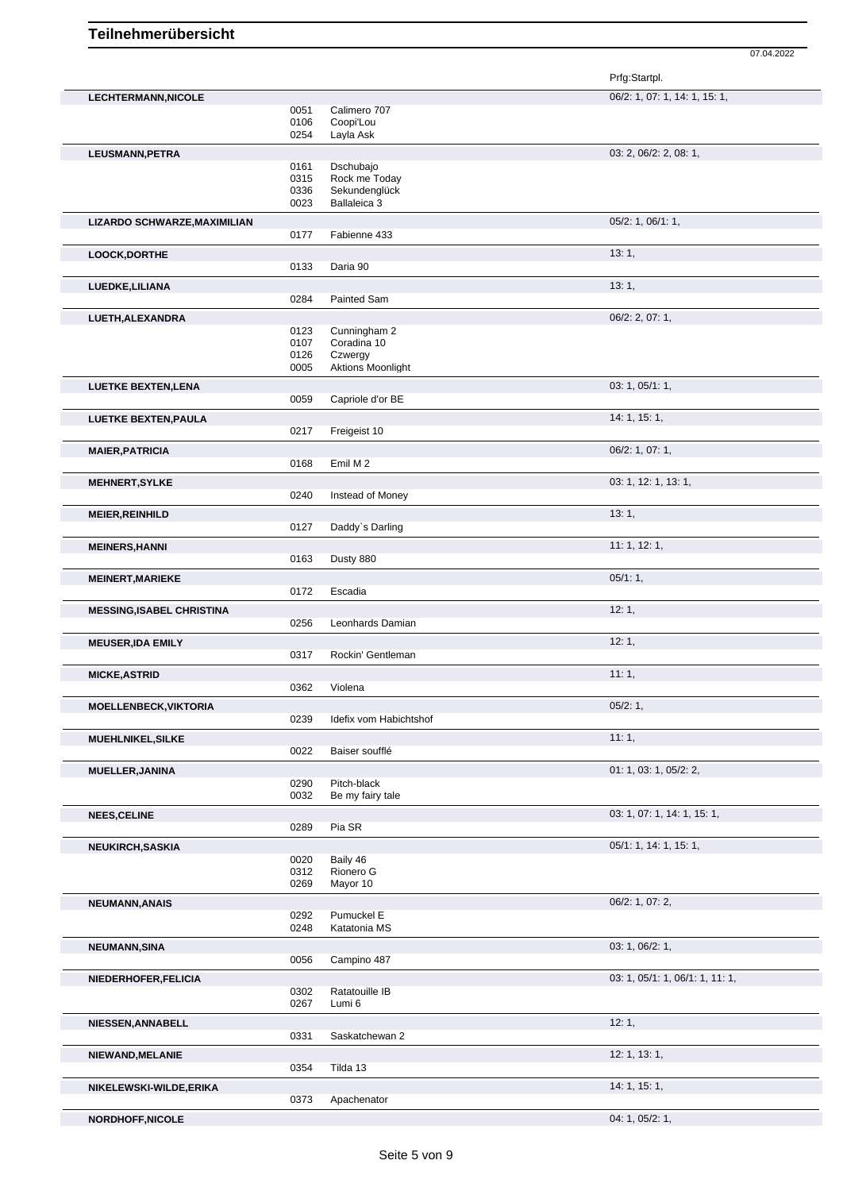07.04.2022

|                                  |              |                                     | Prfg:Startpl.                   |
|----------------------------------|--------------|-------------------------------------|---------------------------------|
| LECHTERMANN, NICOLE              |              |                                     | 06/2: 1, 07: 1, 14: 1, 15: 1,   |
|                                  | 0051         | Calimero 707                        |                                 |
|                                  | 0106         | Coopi'Lou                           |                                 |
|                                  | 0254         | Layla Ask                           |                                 |
| LEUSMANN, PETRA                  |              |                                     | 03: 2, 06/2: 2, 08: 1,          |
|                                  | 0161         | Dschubajo                           |                                 |
|                                  | 0315<br>0336 | Rock me Today<br>Sekundenglück      |                                 |
|                                  | 0023         | Ballaleica 3                        |                                 |
|                                  |              |                                     |                                 |
| LIZARDO SCHWARZE, MAXIMILIAN     | 0177         | Fabienne 433                        | $05/2$ : 1, $06/1$ : 1,         |
|                                  |              |                                     |                                 |
| LOOCK, DORTHE                    |              |                                     | 13:1,                           |
|                                  | 0133         | Daria 90                            |                                 |
| LUEDKE, LILIANA                  |              |                                     | 13:1,                           |
|                                  | 0284         | Painted Sam                         |                                 |
| LUETH, ALEXANDRA                 |              |                                     | 06/2: 2, 07: 1,                 |
|                                  | 0123         | Cunningham 2                        |                                 |
|                                  | 0107         | Coradina 10                         |                                 |
|                                  | 0126<br>0005 | Czwergy<br><b>Aktions Moonlight</b> |                                 |
|                                  |              |                                     |                                 |
| <b>LUETKE BEXTEN, LENA</b>       | 0059         |                                     | 03: 1, 05/1: 1,                 |
|                                  |              | Capriole d'or BE                    |                                 |
| <b>LUETKE BEXTEN, PAULA</b>      |              |                                     | 14: 1, 15: 1,                   |
|                                  | 0217         | Freigeist 10                        |                                 |
| <b>MAIER, PATRICIA</b>           |              |                                     | 06/2: 1, 07: 1,                 |
|                                  | 0168         | Emil M 2                            |                                 |
| <b>MEHNERT, SYLKE</b>            |              |                                     | 03: 1, 12: 1, 13: 1,            |
|                                  | 0240         | Instead of Money                    |                                 |
| <b>MEIER, REINHILD</b>           |              |                                     | 13:1,                           |
|                                  | 0127         | Daddy's Darling                     |                                 |
|                                  |              |                                     | 11: 1, 12: 1,                   |
| <b>MEINERS, HANNI</b>            | 0163         | Dusty 880                           |                                 |
|                                  |              |                                     | 05/1:1,                         |
| <b>MEINERT, MARIEKE</b>          | 0172         | Escadia                             |                                 |
|                                  |              |                                     |                                 |
| <b>MESSING, ISABEL CHRISTINA</b> |              |                                     | 12:1,                           |
|                                  | 0256         | Leonhards Damian                    |                                 |
| <b>MEUSER, IDA EMILY</b>         |              |                                     | 12:1,                           |
|                                  | 0317         | Rockin' Gentleman                   |                                 |
| <b>MICKE, ASTRID</b>             |              |                                     | 11:1,                           |
|                                  | 0362         | Violena                             |                                 |
| <b>MOELLENBECK, VIKTORIA</b>     |              |                                     | 05/2:1,                         |
|                                  | 0239         | Idefix vom Habichtshof              |                                 |
| MUEHLNIKEL, SILKE                |              |                                     | 11:1,                           |
|                                  | 0022         | Baiser soufflé                      |                                 |
| <b>MUELLER, JANINA</b>           |              |                                     | 01: 1, 03: 1, 05/2: 2,          |
|                                  | 0290         | Pitch-black                         |                                 |
|                                  | 0032         | Be my fairy tale                    |                                 |
| <b>NEES, CELINE</b>              |              |                                     | 03: 1, 07: 1, 14: 1, 15: 1,     |
|                                  | 0289         | Pia SR                              |                                 |
| NEUKIRCH, SASKIA                 |              |                                     | 05/1: 1, 14: 1, 15: 1,          |
|                                  | 0020         | Baily 46                            |                                 |
|                                  | 0312         | Rionero G                           |                                 |
|                                  | 0269         | Mayor 10                            |                                 |
| <b>NEUMANN, ANAIS</b>            |              |                                     | 06/2: 1, 07: 2,                 |
|                                  | 0292         | Pumuckel E                          |                                 |
|                                  | 0248         | Katatonia MS                        |                                 |
| NEUMANN, SINA                    |              |                                     | 03: 1, 06/2: 1,                 |
|                                  | 0056         | Campino 487                         |                                 |
| NIEDERHOFER, FELICIA             |              |                                     | 03: 1, 05/1: 1, 06/1: 1, 11: 1, |
|                                  | 0302         | Ratatouille IB                      |                                 |
|                                  | 0267         | Lumi 6                              |                                 |
| NIESSEN, ANNABELL                |              |                                     | 12:1,                           |
|                                  | 0331         | Saskatchewan 2                      |                                 |
|                                  |              |                                     |                                 |
| NIEWAND, MELANIE                 | 0354         | Tilda 13                            | 12: 1, 13: 1,                   |
|                                  |              |                                     |                                 |
| NIKELEWSKI-WILDE, ERIKA          | 0373         | Apachenator                         | 14: 1, 15: 1,                   |
|                                  |              |                                     |                                 |
| NORDHOFF, NICOLE                 |              |                                     | 04: 1, 05/2: 1,                 |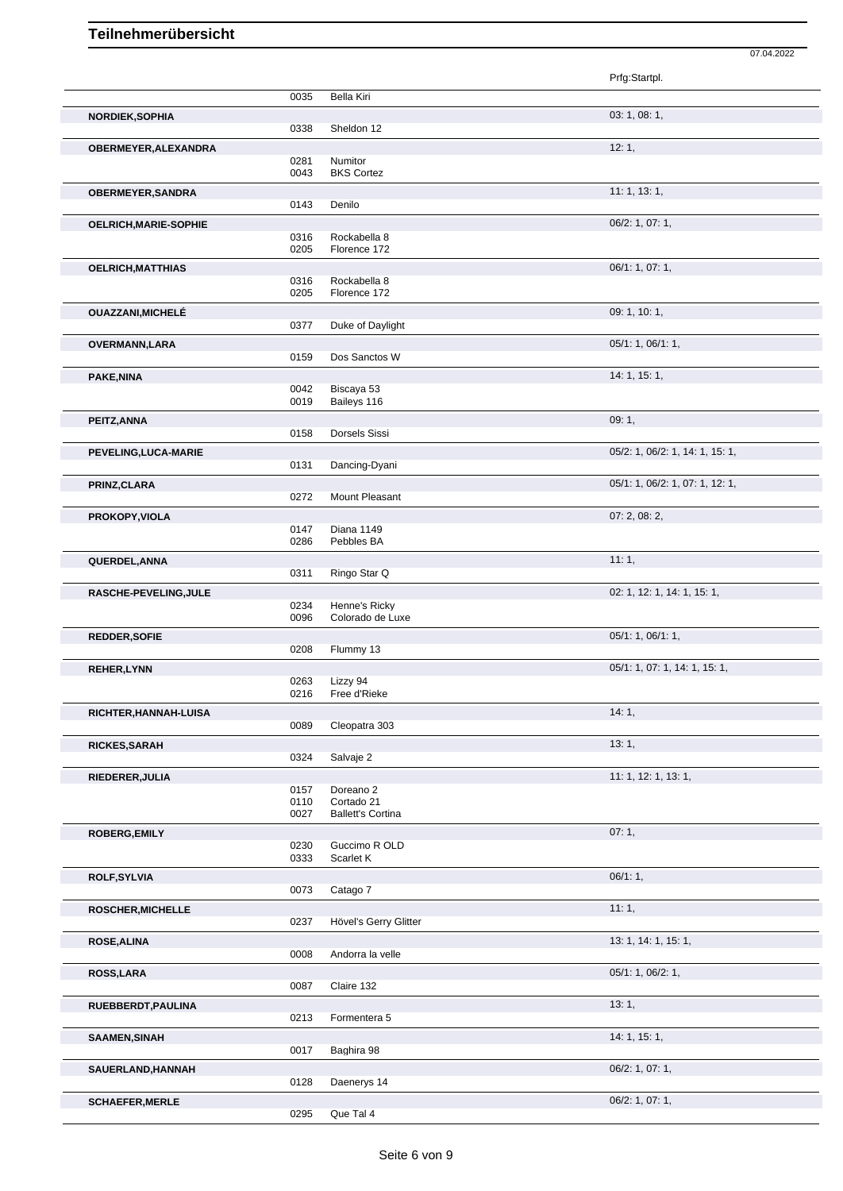|                          |              |                                        | 07.04.2022                      |  |
|--------------------------|--------------|----------------------------------------|---------------------------------|--|
|                          |              |                                        | Prfg:Startpl.                   |  |
|                          | 0035         | Bella Kiri                             |                                 |  |
| NORDIEK, SOPHIA          | 0338         | Sheldon 12                             | 03: 1, 08: 1,                   |  |
| OBERMEYER, ALEXANDRA     |              |                                        | 12:1,                           |  |
|                          | 0281<br>0043 | Numitor<br><b>BKS Cortez</b>           |                                 |  |
| OBERMEYER, SANDRA        |              |                                        | 11: 1, 13: 1,                   |  |
|                          | 0143         | Denilo                                 |                                 |  |
| OELRICH, MARIE-SOPHIE    | 0316         | Rockabella 8                           | 06/2: 1, 07: 1,                 |  |
|                          | 0205         | Florence 172                           |                                 |  |
| <b>OELRICH, MATTHIAS</b> | 0316         | Rockabella 8                           | 06/1: 1, 07: 1,                 |  |
|                          | 0205         | Florence 172                           |                                 |  |
| <b>OUAZZANI, MICHELÉ</b> | 0377         | Duke of Daylight                       | 09: 1, 10: 1,                   |  |
| <b>OVERMANN,LARA</b>     |              |                                        | 05/1: 1, 06/1: 1,               |  |
|                          | 0159         | Dos Sanctos W                          |                                 |  |
| PAKE, NINA               | 0042         | Biscaya 53                             | 14: 1, 15: 1,                   |  |
|                          | 0019         | Baileys 116                            |                                 |  |
| PEITZ, ANNA              | 0158         | Dorsels Sissi                          | 09:1,                           |  |
| PEVELING, LUCA-MARIE     |              |                                        | 05/2: 1, 06/2: 1, 14: 1, 15: 1, |  |
|                          | 0131         | Dancing-Dyani                          |                                 |  |
| PRINZ, CLARA             |              |                                        | 05/1: 1, 06/2: 1, 07: 1, 12: 1, |  |
| PROKOPY, VIOLA           | 0272         | Mount Pleasant                         | 07: 2, 08: 2,                   |  |
|                          | 0147         | Diana 1149                             |                                 |  |
|                          | 0286         | Pebbles BA                             | 11:1,                           |  |
| QUERDEL, ANNA            | 0311         | Ringo Star Q                           |                                 |  |
| RASCHE-PEVELING, JULE    |              |                                        | 02: 1, 12: 1, 14: 1, 15: 1,     |  |
|                          | 0234<br>0096 | Henne's Ricky<br>Colorado de Luxe      |                                 |  |
| <b>REDDER, SOFIE</b>     |              |                                        | 05/1: 1, 06/1: 1,               |  |
| <b>REHER, LYNN</b>       | 0208         | Flummy 13                              | 05/1: 1, 07: 1, 14: 1, 15: 1,   |  |
|                          |              | 0263 Lizzy 94                          |                                 |  |
|                          | 0216         | Free d'Rieke                           | 14:1,                           |  |
| RICHTER, HANNAH-LUISA    | 0089         | Cleopatra 303                          |                                 |  |
| RICKES, SARAH            |              |                                        | 13:1,                           |  |
|                          | 0324         | Salvaje 2                              | 11: 1, 12: 1, 13: 1,            |  |
| RIEDERER, JULIA          | 0157         | Doreano <sub>2</sub>                   |                                 |  |
|                          | 0110<br>0027 | Cortado 21<br><b>Ballett's Cortina</b> |                                 |  |
| <b>ROBERG, EMILY</b>     |              |                                        | 07:1,                           |  |
|                          | 0230<br>0333 | Guccimo R OLD<br>Scarlet K             |                                 |  |
| ROLF, SYLVIA             |              |                                        | 06/1:1,                         |  |
|                          | 0073         | Catago 7                               |                                 |  |
| ROSCHER, MICHELLE        | 0237         | Hövel's Gerry Glitter                  | 11:1,                           |  |
| ROSE, ALINA              |              |                                        | 13: 1, 14: 1, 15: 1,            |  |
|                          | 0008         | Andorra la velle                       |                                 |  |
| ROSS, LARA               | 0087         | Claire 132                             | 05/1: 1, 06/2: 1,               |  |
| RUEBBERDT, PAULINA       |              |                                        | 13:1,                           |  |
|                          | 0213         | Formentera 5                           |                                 |  |
| SAAMEN, SINAH            | 0017         | Baghira 98                             | 14:1, 15:1,                     |  |
| SAUERLAND, HANNAH        |              |                                        | 06/2: 1, 07: 1,                 |  |
|                          | 0128         | Daenerys 14                            |                                 |  |
| <b>SCHAEFER, MERLE</b>   | 0295         | Que Tal 4                              | 06/2: 1, 07: 1,                 |  |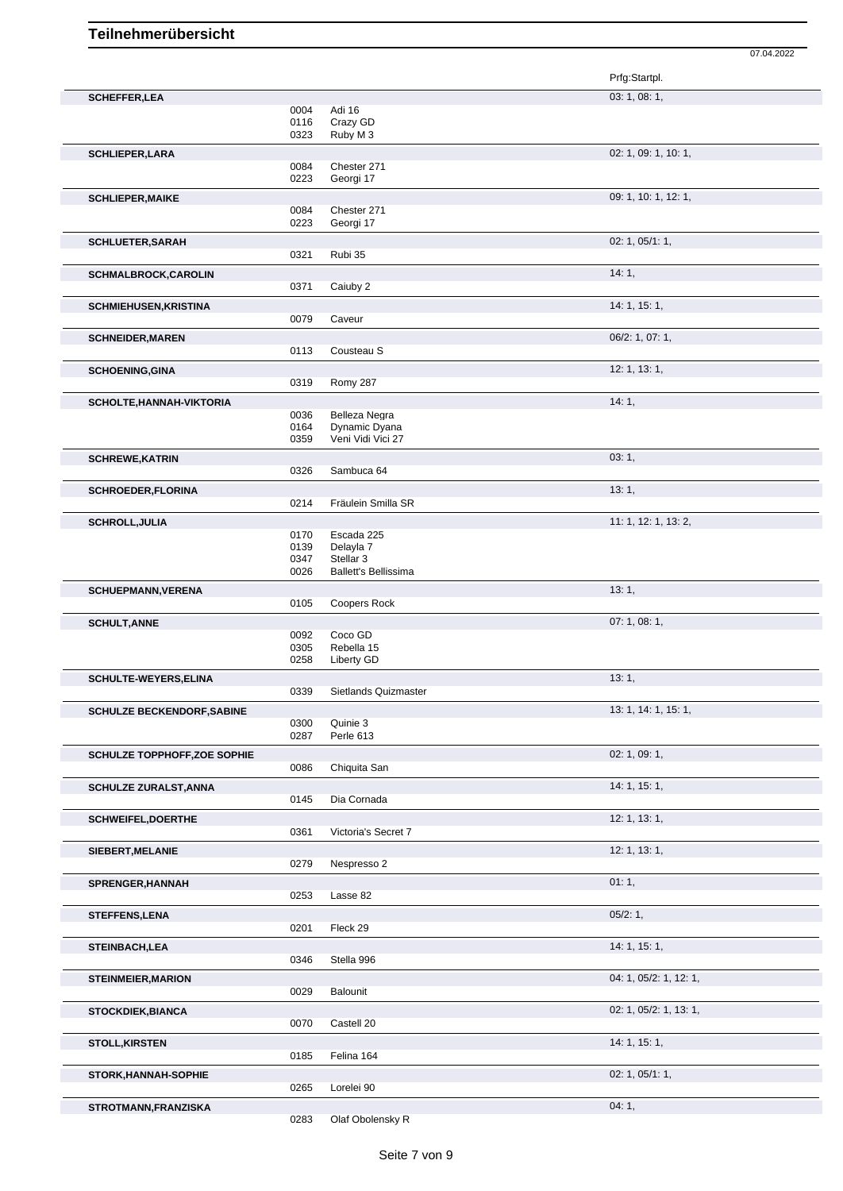Prfg:Startpl. **SCHEFFER, LEA** 03: 1, 08: 1, 08: 1, 09: 1, 09: 1, 09: 1, 09: 1, 09: 1, 09: 1, 09: 1, 09: 1, 09: 1, 09: 1, 09: 1, 09: 1, 09: 1, 09: 1, 09: 1, 09: 1, 09: 1, 09: 1, 09: 1, 09: 1, 09: 1, 09: 1, 09: 1, 09: 1, 09: 0, 0, 0, 0, 0 0004 Adi 16<br>0116 Crazy 0116 Crazy GD<br>0323 Ruby M 3 Ruby M 3 **SCHLIEPER, LARA** 02: 1, 09: 1, 10: 1, 09: 1, 10: 1, 09: 1, 10: 1, 09: 1, 10: 1, 09: 1, 10: 1, 09: 1, 10: 1, 09: 1, 10: 1, 09: 1, 10: 1, 09: 1, 09: 1, 09: 1, 09: 1, 09: 1, 09: 1, 09: 1, 09: 1, 09: 1, 09: 1, 09: 1, 09: 1, 0 0084 Chester 271<br>0223 Georgi 17 Georgi 17 **SCHLIEPER,MAIKE** 09: 1, 10: 1, 12: 1, 0084 Chester 271 0084 Chester 271<br>0223 Georgi 17 Georgi 17 **SCHLUETER,SARAH** 02: 1, 05/1: 1,<br>
0321 Rubi 35 Rubi 35 **SCHMALBROCK,CAROLIN** 0371 Caiuby 2 **14: 1,** Caiuby 2 **SCHMIEHUSEN, KRISTINA** 14: 1, 15: 1, Caveur **SCHNEIDER,MAREN** 06/2: 1, 07: 1, 0113 Cousteau S **SCHOENING,GINA** 12: 1, 13: 1, Romy 287 **SCHOLTE, HANNAH-VIKTORIA** 10036 Relleza Negra<br>
0036 Relleza Negra Belleza Negra 0164 Dynamic Dyana 0359 Veni Vidi Vici 27 **SCHREWE, KATRIN** 03: 1, 0326 Sambuca 64 Sambuca 64 **SCHROEDER,FLORINA** 13: 1, 2014 Fräulein Smilla SR 0214 Fräulein Smilla SR **SCHROLL,JULIA** 11: 1, 12: 1, 13: 2, 0170 Escada 225<br>0139 Delayla 7 0139 Delayla 7<br>0347 Stellar 3 0347 Stellar 3<br>0026 Ballett's l Ballett's Bellissima **SCHUEPMANN,VERENA** 13: 1, Coopers Rock **SCHULT,ANNE** 07: 1, 08: 1, 08: 1, 08: 1, 08: 1, 08: 1, 09: 1, 08: 1, 09: 1, 08: 1, 09: 1, 08: 1, 09: 1, 09: 1, 09: 1, 09: 1, 09: 1, 09: 1, 09: 1, 09: 1, 09: 1, 09: 1, 09: 1, 09: 1, 09: 1, 09: 1, 09: 1, 09: 1, 09: 1, 09: 1 0092 Coco GD<br>0305 Rebella 1 0305 Rebella 15<br>0258 Liberty GD Liberty GD **SCHULTE-WEYERS,ELINA** 13: 1, 20039 Sietlands Quizmaster and the control of the control of the control of the control of the control of the control of the control of the control of the control of the control of the control Sietlands Quizmaster **SCHULZE BECKENDORF, SABINE** 13: 1, 14: 1, 15: 1, 15: 1, 15: 1, 15: 1, 15: 1, 15: 1, 15: 1, 15: 1, 15: 1, 15: 1, 15: 1, 15: 1, 15: 1, 15: 1, 15: 1, 15: 1, 15: 1, 15: 1, 15: 1, 15: 1, 15: 1, 15: 1, 15: 1, 15: 1, 15: 1, 15: Quinie 3 0287 Perle 613 **SCHULZE TOPPHOFF,ZOE SOPHIE DESCRIPTION CONTROLLER CONTROLLER CONTROLLER CONTROLLER CONTROLLER CONTROLLER CONTROLLER CONTROLLER CONTROLLER CONTROLLER CONTROLLER CONTROLLER CONTROLLER CONTROLLER CONTROLLER CONTROLLER CON** 0086 Chiquita San **SCHULZE ZURALST,ANNA** 14: 1, 15: 1, 0145 Dia Cornada **SCHWEIFEL, DOERTHE** 2: 1, 13: 1, 2: 1, 13: 1, 2: 1, 13: 1, 2: 1, 13: 1, 2: 1, 13: 1, Victoria's Secret 7 **SIEBERT,MELANIE** 12: 1, 13: 1, Nespresso 2 **SPRENGER,HANNAH** 01: 1, 0253 Lasse 82 **STEFFENS,LENA** 05/2: 1, 0201 Fleck 29 **STEINBACH,LEA** 14: 1, 15: 1, 0346 Stella 996 **STEINMEIER,MARION** 04: 1, 05/2: 1, 12: 1, 0029 Balounit **STOCKDIEK,BIANCA** 02: 1, 05/2: 1, 13: 1, 0070 Castell 20 **STOLL,KIRSTEN** 14: 1, 15: 1, Felina 164 **STORK,HANNAH-SOPHIE** 02: 1, 05/1: 1, Lorelei 90

07.04.2022

**STROTMANN,FRANZISKA** 04: 1, 0283 Olaf Obolensky R<br>0283 Olaf Obolensky R

Olaf Obolensky R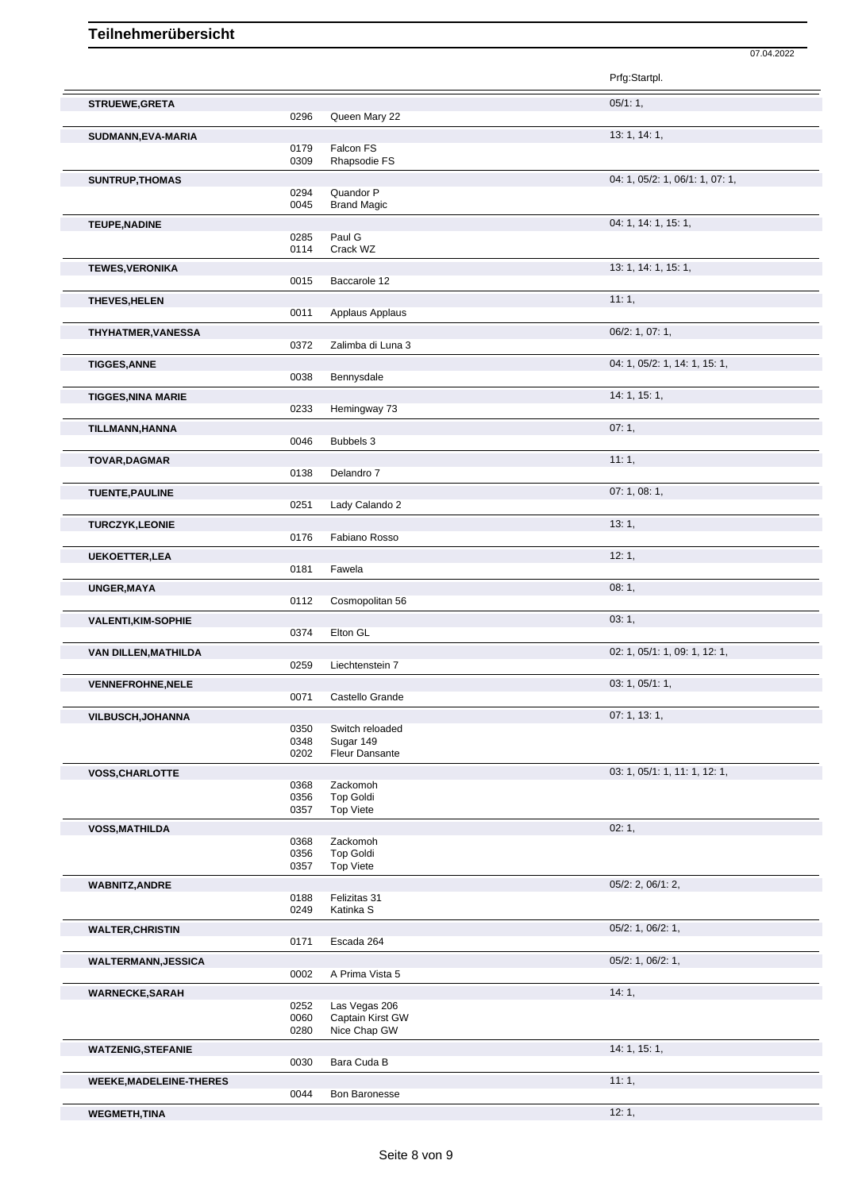|                                |              |                                    | Prfg:Startpl.                   |
|--------------------------------|--------------|------------------------------------|---------------------------------|
| STRUEWE, GRETA                 |              |                                    | $05/1:1$ ,                      |
|                                | 0296         | Queen Mary 22                      |                                 |
| SUDMANN, EVA-MARIA             |              |                                    | 13: 1, 14: 1,                   |
|                                | 0179<br>0309 | Falcon FS<br>Rhapsodie FS          |                                 |
| SUNTRUP, THOMAS                |              |                                    | 04: 1, 05/2: 1, 06/1: 1, 07: 1, |
|                                | 0294         | Quandor P                          |                                 |
|                                | 0045         | <b>Brand Magic</b>                 |                                 |
| <b>TEUPE, NADINE</b>           |              |                                    | 04: 1, 14: 1, 15: 1,            |
|                                | 0285         | Paul G                             |                                 |
|                                | 0114         | Crack WZ                           |                                 |
| <b>TEWES, VERONIKA</b>         | 0015         | Baccarole 12                       | 13: 1, 14: 1, 15: 1,            |
|                                |              |                                    |                                 |
| THEVES, HELEN                  | 0011         | Applaus Applaus                    | 11:1,                           |
|                                |              |                                    | 06/2: 1, 07: 1,                 |
| THYHATMER, VANESSA             | 0372         | Zalimba di Luna 3                  |                                 |
| <b>TIGGES, ANNE</b>            |              |                                    | 04: 1, 05/2: 1, 14: 1, 15: 1,   |
|                                | 0038         | Bennysdale                         |                                 |
| <b>TIGGES, NINA MARIE</b>      |              |                                    | 14: 1, 15: 1,                   |
|                                | 0233         | Hemingway 73                       |                                 |
| TILLMANN, HANNA                |              |                                    | 07:1,                           |
|                                | 0046         | Bubbels 3                          |                                 |
| <b>TOVAR, DAGMAR</b>           |              |                                    | 11:1,                           |
|                                | 0138         | Delandro 7                         |                                 |
| <b>TUENTE, PAULINE</b>         |              |                                    | 07: 1, 08: 1,                   |
|                                | 0251         | Lady Calando 2                     |                                 |
| <b>TURCZYK,LEONIE</b>          |              |                                    | 13:1,                           |
|                                | 0176         | Fabiano Rosso                      |                                 |
| <b>UEKOETTER, LEA</b>          |              |                                    | 12:1,                           |
|                                | 0181         | Fawela                             |                                 |
| UNGER, MAYA                    |              |                                    | 08:1,                           |
|                                | 0112         | Cosmopolitan 56                    |                                 |
| <b>VALENTI, KIM-SOPHIE</b>     | 0374         | Elton GL                           | 03:1,                           |
|                                |              |                                    | 02: 1, 05/1: 1, 09: 1, 12: 1,   |
| VAN DILLEN, MATHILDA           | 0259         | Liechtenstein 7                    |                                 |
| <b>VENNEFROHNE, NELE</b>       |              |                                    | 03: 1, 05/1: 1,                 |
|                                | 0071         | Castello Grande                    |                                 |
| <b>VILBUSCH, JOHANNA</b>       |              |                                    | 07:1, 13:1,                     |
|                                | 0350         | Switch reloaded                    |                                 |
|                                | 0348<br>0202 | Sugar 149<br><b>Fleur Dansante</b> |                                 |
| <b>VOSS, CHARLOTTE</b>         |              |                                    | 03: 1, 05/1: 1, 11: 1, 12: 1,   |
|                                | 0368         | Zackomoh                           |                                 |
|                                | 0356         | <b>Top Goldi</b>                   |                                 |
|                                | 0357         | <b>Top Viete</b>                   |                                 |
| <b>VOSS, MATHILDA</b>          |              |                                    | 02:1,                           |
|                                | 0368<br>0356 | Zackomoh<br><b>Top Goldi</b>       |                                 |
|                                | 0357         | <b>Top Viete</b>                   |                                 |
| <b>WABNITZ, ANDRE</b>          |              |                                    | 05/2: 2, 06/1: 2,               |
|                                | 0188         | Felizitas 31                       |                                 |
|                                | 0249         | Katinka S                          |                                 |
| <b>WALTER, CHRISTIN</b>        | 0171         | Escada 264                         | 05/2: 1, 06/2: 1,               |
|                                |              |                                    |                                 |
| <b>WALTERMANN, JESSICA</b>     | 0002         | A Prima Vista 5                    | 05/2: 1, 06/2: 1,               |
| <b>WARNECKE, SARAH</b>         |              |                                    | 14:1,                           |
|                                | 0252         | Las Vegas 206                      |                                 |
|                                | 0060         | Captain Kirst GW                   |                                 |
|                                | 0280         | Nice Chap GW                       |                                 |
| <b>WATZENIG, STEFANIE</b>      |              |                                    | 14: 1, 15: 1,                   |
|                                | 0030         | Bara Cuda B                        |                                 |
| <b>WEEKE, MADELEINE-THERES</b> | 0044         | Bon Baronesse                      | 11:1,                           |
|                                |              |                                    |                                 |

07.04.2022

Bon Baronesse **WEGMETH,TINA** 12: 1,